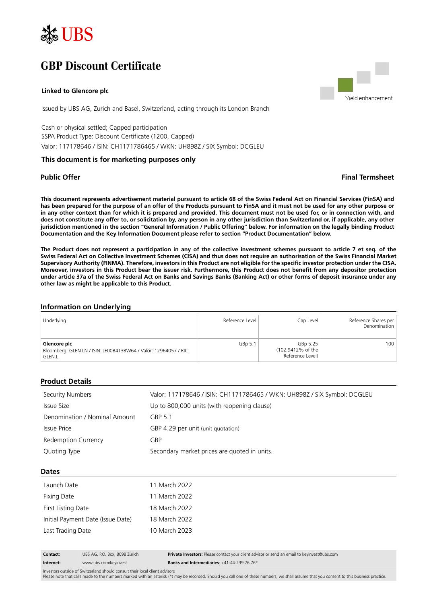

# **GBP Discount Certificate**

#### **Linked to Glencore plc**

Issued by UBS AG, Zurich and Basel, Switzerland, acting through its London Branch

Cash or physical settled; Capped participation SSPA Product Type: Discount Certificate (1200, Capped) Valor: 117178646 / ISIN: CH1171786465 / WKN: UH898Z / SIX Symbol: DCGLEU

### **This document is for marketing purposes only**

Yield enhancement

# **Public Offer Final Termsheet**

**This document represents advertisement material pursuant to article 68 of the Swiss Federal Act on Financial Services (FinSA) and has been prepared for the purpose of an offer of the Products pursuant to FinSA and it must not be used for any other purpose or in any other context than for which it is prepared and provided. This document must not be used for, or in connection with, and does not constitute any offer to, or solicitation by, any person in any other jurisdiction than Switzerland or, if applicable, any other jurisdiction mentioned in the section "General Information / Public Offering" below. For information on the legally binding Product Documentation and the Key Information Document please refer to section "Product Documentation" below.**

**The Product does not represent a participation in any of the collective investment schemes pursuant to article 7 et seq. of the Swiss Federal Act on Collective Investment Schemes (CISA) and thus does not require an authorisation of the Swiss Financial Market Supervisory Authority (FINMA). Therefore, investors in this Product are not eligible for the specific investor protection under the CISA. Moreover, investors in this Product bear the issuer risk. Furthermore, this Product does not benefit from any depositor protection under article 37a of the Swiss Federal Act on Banks and Savings Banks (Banking Act) or other forms of deposit insurance under any other law as might be applicable to this Product.**

#### **Information on Underlying**

| Underlying                                                                                        | Reference Level | Cap Level                                         | Reference Shares per<br>Denomination |
|---------------------------------------------------------------------------------------------------|-----------------|---------------------------------------------------|--------------------------------------|
| Glencore plc<br>Bloomberg: GLEN LN / ISIN: JE00B4T3BW64 / Valor: 12964057 / RIC:<br><b>GLEN.L</b> | GBp 5.1         | GBp 5.25<br>(102.9412% of the<br>Reference Level) | 100                                  |

#### **Product Details**

| Security Numbers              | Valor: 117178646 / ISIN: CH1171786465 / WKN: UH898Z / SIX Symbol: DCGLEU |
|-------------------------------|--------------------------------------------------------------------------|
| Issue Size                    | Up to 800,000 units (with reopening clause)                              |
| Denomination / Nominal Amount | GBP 5.1                                                                  |
| Issue Price                   | GBP 4.29 per unit (unit quotation)                                       |
| Redemption Currency           | GBP                                                                      |
| Quoting Type                  | Secondary market prices are quoted in units.                             |

**Dates**

| Launch Date                       | 11 March 2022 |
|-----------------------------------|---------------|
| Fixing Date                       | 11 March 2022 |
| First Listing Date                | 18 March 2022 |
| Initial Payment Date (Issue Date) | 18 March 2022 |
| Last Trading Date                 | 10 March 2023 |

**Contact:** UBS AG, P.O. Box, 8098 Zürich **Private Investors:** Please contact your client advisor or send an email to keyinvest@ubs.com **Internet:** www.ubs.com/keyinvest **Banks and Intermediaries**: +41-44-239 76 76\*

Investors outside of Switzerland should consult their local client advisors

Please note that calls made to the numbers marked with an asterisk (\*) may be recorded. Should you call one of these numbers, we shall assume that you consent to this business practice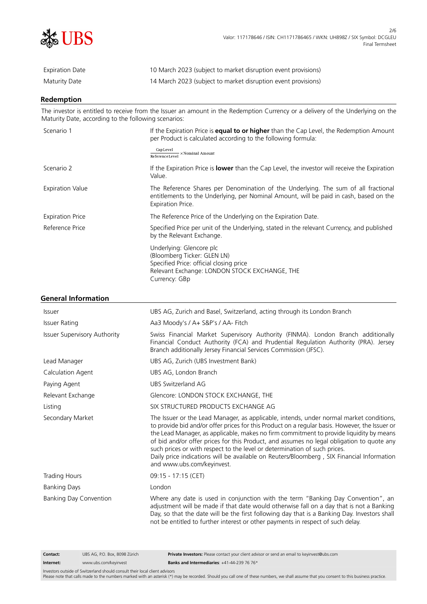

| Expiration Date | 10 March 2023 (subject to market disruption event provisions) |
|-----------------|---------------------------------------------------------------|
| Maturity Date   | 14 March 2023 (subject to market disruption event provisions) |

# **Redemption**

The investor is entitled to receive from the Issuer an amount in the Redemption Currency or a delivery of the Underlying on the Maturity Date, according to the following scenarios:

| CapLevel<br>$\overline{\mathsf{ReferenceLevel}}\times\mathsf{Nominal\,\,Amount}$<br>Scenario 2<br>If the Expiration Price is <b>lower</b> than the Cap Level, the investor will receive the Expiration<br>Value.             | If the Expiration Price is <b>equal to or higher</b> than the Cap Level, the Redemption Amount<br>per Product is calculated according to the following formula: |  |
|------------------------------------------------------------------------------------------------------------------------------------------------------------------------------------------------------------------------------|-----------------------------------------------------------------------------------------------------------------------------------------------------------------|--|
|                                                                                                                                                                                                                              |                                                                                                                                                                 |  |
|                                                                                                                                                                                                                              |                                                                                                                                                                 |  |
| The Reference Shares per Denomination of the Underlying. The sum of all fractional<br><b>Expiration Value</b><br>entitlements to the Underlying, per Nominal Amount, will be paid in cash, based on the<br>Expiration Price. |                                                                                                                                                                 |  |
| The Reference Price of the Underlying on the Expiration Date.<br><b>Expiration Price</b>                                                                                                                                     |                                                                                                                                                                 |  |
| Reference Price<br>Specified Price per unit of the Underlying, stated in the relevant Currency, and published<br>by the Relevant Exchange.                                                                                   |                                                                                                                                                                 |  |
| Underlying: Glencore plc<br>(Bloomberg Ticker: GLEN LN)<br>Specified Price: official closing price<br>Relevant Exchange: LONDON STOCK EXCHANGE, THE<br>Currency: GBp                                                         |                                                                                                                                                                 |  |

## **General Information**

| <b>Issuer</b>                       | UBS AG, Zurich and Basel, Switzerland, acting through its London Branch                                                                                                                                                                                                                                                                                                                                                                                                                                                                                                                   |  |
|-------------------------------------|-------------------------------------------------------------------------------------------------------------------------------------------------------------------------------------------------------------------------------------------------------------------------------------------------------------------------------------------------------------------------------------------------------------------------------------------------------------------------------------------------------------------------------------------------------------------------------------------|--|
| <b>Issuer Rating</b>                | Aa3 Moody's / A+ S&P's / AA- Fitch                                                                                                                                                                                                                                                                                                                                                                                                                                                                                                                                                        |  |
| <b>Issuer Supervisory Authority</b> | Swiss Financial Market Supervisory Authority (FINMA). London Branch additionally<br>Financial Conduct Authority (FCA) and Prudential Regulation Authority (PRA). Jersey<br>Branch additionally Jersey Financial Services Commission (JFSC).                                                                                                                                                                                                                                                                                                                                               |  |
| Lead Manager                        | UBS AG, Zurich (UBS Investment Bank)                                                                                                                                                                                                                                                                                                                                                                                                                                                                                                                                                      |  |
| Calculation Agent                   | UBS AG, London Branch                                                                                                                                                                                                                                                                                                                                                                                                                                                                                                                                                                     |  |
| Paying Agent                        | UBS Switzerland AG                                                                                                                                                                                                                                                                                                                                                                                                                                                                                                                                                                        |  |
| Relevant Exchange                   | Glencore: LONDON STOCK EXCHANGE, THE                                                                                                                                                                                                                                                                                                                                                                                                                                                                                                                                                      |  |
| Listing                             | SIX STRUCTURED PRODUCTS EXCHANGE AG                                                                                                                                                                                                                                                                                                                                                                                                                                                                                                                                                       |  |
| Secondary Market                    | The Issuer or the Lead Manager, as applicable, intends, under normal market conditions,<br>to provide bid and/or offer prices for this Product on a regular basis. However, the Issuer or<br>the Lead Manager, as applicable, makes no firm commitment to provide liquidity by means<br>of bid and/or offer prices for this Product, and assumes no legal obligation to quote any<br>such prices or with respect to the level or determination of such prices.<br>Daily price indications will be available on Reuters/Bloomberg, SIX Financial Information<br>and www.ubs.com/keyinvest. |  |
| Trading Hours                       | 09:15 - 17:15 (CET)                                                                                                                                                                                                                                                                                                                                                                                                                                                                                                                                                                       |  |
| <b>Banking Days</b>                 | London                                                                                                                                                                                                                                                                                                                                                                                                                                                                                                                                                                                    |  |
| Banking Day Convention              | Where any date is used in conjunction with the term "Banking Day Convention", an<br>adjustment will be made if that date would otherwise fall on a day that is not a Banking<br>Day, so that the date will be the first following day that is a Banking Day. Investors shall<br>not be entitled to further interest or other payments in respect of such delay.                                                                                                                                                                                                                           |  |

**Contact:** UBS AG, P.O. Box, 8098 Zürich **Private Investors:** Please contact your client advisor or send an email to keyinvest@ubs.com **Internet:** www.ubs.com/keyinvest **Banks and Intermediaries**: +41-44-239 76 76\*

Investors outside of Switzerland should consult their local client advisors Please note that calls made to the numbers marked with an asterisk (\*) may be recorded. Should you call one of these numbers, we shall assume that you consent to this business practice.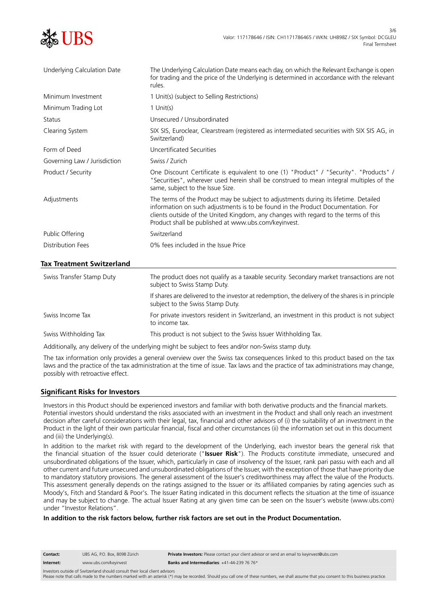| UBS                              | 3/6<br>Valor: 117178646 / ISIN: CH1171786465 / WKN: UH898Z / SIX Symbol: DCGLEL<br>Final Termsheet                                                                                                                                                                                                                      |
|----------------------------------|-------------------------------------------------------------------------------------------------------------------------------------------------------------------------------------------------------------------------------------------------------------------------------------------------------------------------|
| Underlying Calculation Date      | The Underlying Calculation Date means each day, on which the Relevant Exchange is open<br>for trading and the price of the Underlying is determined in accordance with the relevant<br>rules.                                                                                                                           |
| Minimum Investment               | 1 Unit(s) (subject to Selling Restrictions)                                                                                                                                                                                                                                                                             |
| Minimum Trading Lot              | $1$ Unit(s)                                                                                                                                                                                                                                                                                                             |
| Status                           | Unsecured / Unsubordinated                                                                                                                                                                                                                                                                                              |
| Clearing System                  | SIX SIS, Euroclear, Clearstream (registered as intermediated securities with SIX SIS AG, in<br>Switzerland)                                                                                                                                                                                                             |
| Form of Deed                     | Uncertificated Securities                                                                                                                                                                                                                                                                                               |
| Governing Law / Jurisdiction     | Swiss / Zurich                                                                                                                                                                                                                                                                                                          |
| Product / Security               | One Discount Certificate is equivalent to one (1) "Product" / "Security". "Products" /<br>"Securities", wherever used herein shall be construed to mean integral multiples of the<br>same, subject to the Issue Size.                                                                                                   |
| Adjustments                      | The terms of the Product may be subject to adjustments during its lifetime. Detailed<br>information on such adjustments is to be found in the Product Documentation. For<br>clients outside of the United Kingdom, any changes with regard to the terms of this<br>Product shall be published at www.ubs.com/keyinvest. |
| Public Offering                  | Switzerland                                                                                                                                                                                                                                                                                                             |
| Distribution Fees                | 0% fees included in the Issue Price                                                                                                                                                                                                                                                                                     |
| <b>Tax Treatment Switzerland</b> |                                                                                                                                                                                                                                                                                                                         |

| Swiss Transfer Stamp Duty | The product does not qualify as a taxable security. Secondary market transactions are not<br>subject to Swiss Stamp Duty.             |
|---------------------------|---------------------------------------------------------------------------------------------------------------------------------------|
|                           | If shares are delivered to the investor at redemption, the delivery of the shares is in principle<br>subject to the Swiss Stamp Duty. |
| Swiss Income Tax          | For private investors resident in Switzerland, an investment in this product is not subject<br>to income tax.                         |
| Swiss Withholding Tax     | This product is not subject to the Swiss Issuer Withholding Tax.                                                                      |

Additionally, any delivery of the underlying might be subject to fees and/or non-Swiss stamp duty.

The tax information only provides a general overview over the Swiss tax consequences linked to this product based on the tax laws and the practice of the tax administration at the time of issue. Tax laws and the practice of tax administrations may change, possibly with retroactive effect.

#### **Significant Risks for Investors**

Investors in this Product should be experienced investors and familiar with both derivative products and the financial markets. Potential investors should understand the risks associated with an investment in the Product and shall only reach an investment decision after careful considerations with their legal, tax, financial and other advisors of (i) the suitability of an investment in the Product in the light of their own particular financial, fiscal and other circumstances (ii) the information set out in this document and (iii) the Underlying(s).

In addition to the market risk with regard to the development of the Underlying, each investor bears the general risk that the financial situation of the Issuer could deteriorate ("**Issuer Risk**"). The Products constitute immediate, unsecured and unsubordinated obligations of the Issuer, which, particularly in case of insolvency of the Issuer, rank pari passu with each and all other current and future unsecured and unsubordinated obligations of the Issuer, with the exception of those that have priority due to mandatory statutory provisions. The general assessment of the Issuer's creditworthiness may affect the value of the Products. This assessment generally depends on the ratings assigned to the Issuer or its affiliated companies by rating agencies such as Moody's, Fitch and Standard & Poor's. The Issuer Rating indicated in this document reflects the situation at the time of issuance and may be subject to change. The actual Issuer Rating at any given time can be seen on the Issuer's website (www.ubs.com) under "Investor Relations".

#### **In addition to the risk factors below, further risk factors are set out in the Product Documentation.**

| Contact:                                                                    | UBS AG. P.O. Box. 8098 Zürich | <b>Private Investors:</b> Please contact your client advisor or send an email to keyinvest@ubs.com |
|-----------------------------------------------------------------------------|-------------------------------|----------------------------------------------------------------------------------------------------|
| Internet:                                                                   | www.ubs.com/kevinvest         | <b>Banks and Intermediaries:</b> $+41-44-239$ 76 76*                                               |
| Investors outside of Switzerland should consult their local client advisors |                               |                                                                                                    |

Please note that calls made to the numbers marked with an asterisk (\*) may be recorded. Should you call one of these numbers, we shall assume that you consent to this business practice.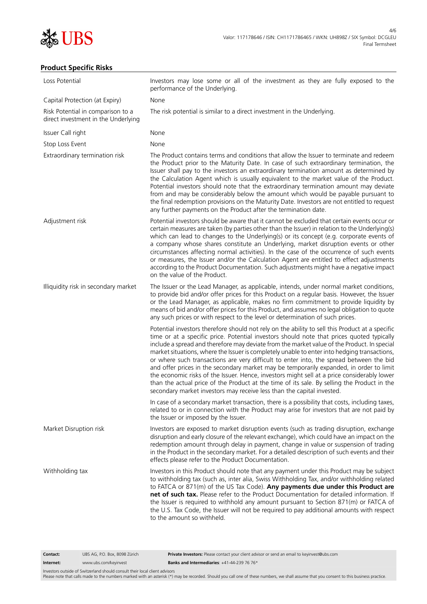

# **Product Specific Risks**

| Loss Potential                                                           | Investors may lose some or all of the investment as they are fully exposed to the<br>performance of the Underlying.                                                                                                                                                                                                                                                                                                                                                                                                                                                                                                                                                                                                                                                                                                                                       |  |
|--------------------------------------------------------------------------|-----------------------------------------------------------------------------------------------------------------------------------------------------------------------------------------------------------------------------------------------------------------------------------------------------------------------------------------------------------------------------------------------------------------------------------------------------------------------------------------------------------------------------------------------------------------------------------------------------------------------------------------------------------------------------------------------------------------------------------------------------------------------------------------------------------------------------------------------------------|--|
| Capital Protection (at Expiry)                                           | None                                                                                                                                                                                                                                                                                                                                                                                                                                                                                                                                                                                                                                                                                                                                                                                                                                                      |  |
| Risk Potential in comparison to a<br>direct investment in the Underlying | The risk potential is similar to a direct investment in the Underlying.                                                                                                                                                                                                                                                                                                                                                                                                                                                                                                                                                                                                                                                                                                                                                                                   |  |
| Issuer Call right                                                        | None                                                                                                                                                                                                                                                                                                                                                                                                                                                                                                                                                                                                                                                                                                                                                                                                                                                      |  |
| Stop Loss Event                                                          | None                                                                                                                                                                                                                                                                                                                                                                                                                                                                                                                                                                                                                                                                                                                                                                                                                                                      |  |
| Extraordinary termination risk                                           | The Product contains terms and conditions that allow the Issuer to terminate and redeem<br>the Product prior to the Maturity Date. In case of such extraordinary termination, the<br>Issuer shall pay to the investors an extraordinary termination amount as determined by<br>the Calculation Agent which is usually equivalent to the market value of the Product.<br>Potential investors should note that the extraordinary termination amount may deviate<br>from and may be considerably below the amount which would be payable pursuant to<br>the final redemption provisions on the Maturity Date. Investors are not entitled to request<br>any further payments on the Product after the termination date.                                                                                                                                       |  |
| Adjustment risk                                                          | Potential investors should be aware that it cannot be excluded that certain events occur or<br>certain measures are taken (by parties other than the Issuer) in relation to the Underlying(s)<br>which can lead to changes to the Underlying(s) or its concept (e.g. corporate events of<br>a company whose shares constitute an Underlying, market disruption events or other<br>circumstances affecting normal activities). In the case of the occurrence of such events<br>or measures, the Issuer and/or the Calculation Agent are entitled to effect adjustments<br>according to the Product Documentation. Such adjustments might have a negative impact<br>on the value of the Product.                                                                                                                                                            |  |
| Illiquidity risk in secondary market                                     | The Issuer or the Lead Manager, as applicable, intends, under normal market conditions,<br>to provide bid and/or offer prices for this Product on a regular basis. However, the Issuer<br>or the Lead Manager, as applicable, makes no firm commitment to provide liquidity by<br>means of bid and/or offer prices for this Product, and assumes no legal obligation to quote<br>any such prices or with respect to the level or determination of such prices.                                                                                                                                                                                                                                                                                                                                                                                            |  |
|                                                                          | Potential investors therefore should not rely on the ability to sell this Product at a specific<br>time or at a specific price. Potential investors should note that prices quoted typically<br>include a spread and therefore may deviate from the market value of the Product. In special<br>market situations, where the Issuer is completely unable to enter into hedging transactions,<br>or where such transactions are very difficult to enter into, the spread between the bid<br>and offer prices in the secondary market may be temporarily expanded, in order to limit<br>the economic risks of the Issuer. Hence, investors might sell at a price considerably lower<br>than the actual price of the Product at the time of its sale. By selling the Product in the<br>secondary market investors may receive less than the capital invested. |  |
|                                                                          | In case of a secondary market transaction, there is a possibility that costs, including taxes,<br>related to or in connection with the Product may arise for investors that are not paid by<br>the Issuer or imposed by the Issuer.                                                                                                                                                                                                                                                                                                                                                                                                                                                                                                                                                                                                                       |  |
| Market Disruption risk                                                   | Investors are exposed to market disruption events (such as trading disruption, exchange<br>disruption and early closure of the relevant exchange), which could have an impact on the<br>redemption amount through delay in payment, change in value or suspension of trading<br>in the Product in the secondary market. For a detailed description of such events and their<br>effects please refer to the Product Documentation.                                                                                                                                                                                                                                                                                                                                                                                                                         |  |
| Withholding tax                                                          | Investors in this Product should note that any payment under this Product may be subject<br>to withholding tax (such as, inter alia, Swiss Withholding Tax, and/or withholding related<br>to FATCA or 871(m) of the US Tax Code). Any payments due under this Product are<br>net of such tax. Please refer to the Product Documentation for detailed information. If<br>the Issuer is required to withhold any amount pursuant to Section 871(m) or FATCA of<br>the U.S. Tax Code, the Issuer will not be required to pay additional amounts with respect<br>to the amount so withheld.                                                                                                                                                                                                                                                                   |  |
| UBS AG, P.O. Box, 8098 Zürich<br>Contact:                                | Private Investors: Please contact your client advisor or send an email to keyinvest@ubs.com                                                                                                                                                                                                                                                                                                                                                                                                                                                                                                                                                                                                                                                                                                                                                               |  |

**Internet:** www.ubs.com/keyinvest **Banks and Intermediaries**: +41-44-239 76 76\*

Investors outside of Switzerland should consult their local client advisors<br>Please note that calls made to the numbers marked with an asterisk (\*) may be recorded. Should you call one of these numbers, we shall assume that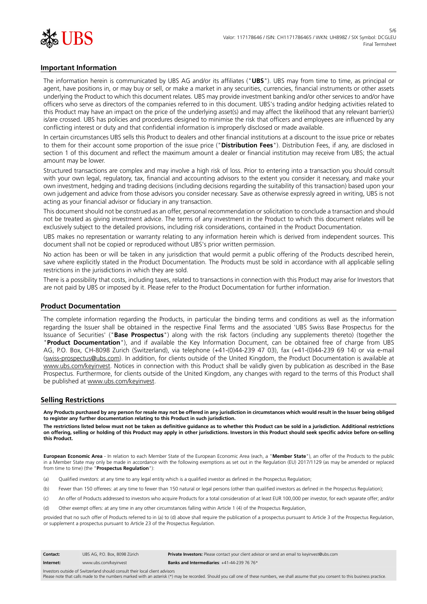

# **Important Information**

The information herein is communicated by UBS AG and/or its affiliates ("**UBS**"). UBS may from time to time, as principal or agent, have positions in, or may buy or sell, or make a market in any securities, currencies, financial instruments or other assets underlying the Product to which this document relates. UBS may provide investment banking and/or other services to and/or have officers who serve as directors of the companies referred to in this document. UBS's trading and/or hedging activities related to this Product may have an impact on the price of the underlying asset(s) and may affect the likelihood that any relevant barrier(s) is/are crossed. UBS has policies and procedures designed to minimise the risk that officers and employees are influenced by any conflicting interest or duty and that confidential information is improperly disclosed or made available.

In certain circumstances UBS sells this Product to dealers and other financial institutions at a discount to the issue price or rebates to them for their account some proportion of the issue price ("**Distribution Fees**"). Distribution Fees, if any, are disclosed in section 1 of this document and reflect the maximum amount a dealer or financial institution may receive from UBS; the actual amount may be lower.

Structured transactions are complex and may involve a high risk of loss. Prior to entering into a transaction you should consult with your own legal, regulatory, tax, financial and accounting advisors to the extent you consider it necessary, and make your own investment, hedging and trading decisions (including decisions regarding the suitability of this transaction) based upon your own judgement and advice from those advisors you consider necessary. Save as otherwise expressly agreed in writing, UBS is not acting as your financial advisor or fiduciary in any transaction.

This document should not be construed as an offer, personal recommendation or solicitation to conclude a transaction and should not be treated as giving investment advice. The terms of any investment in the Product to which this document relates will be exclusively subject to the detailed provisions, including risk considerations, contained in the Product Documentation.

UBS makes no representation or warranty relating to any information herein which is derived from independent sources. This document shall not be copied or reproduced without UBS's prior written permission.

No action has been or will be taken in any jurisdiction that would permit a public offering of the Products described herein, save where explicitly stated in the Product Documentation. The Products must be sold in accordance with all applicable selling restrictions in the jurisdictions in which they are sold.

There is a possibility that costs, including taxes, related to transactions in connection with this Product may arise for Investors that are not paid by UBS or imposed by it. Please refer to the Product Documentation for further information.

#### **Product Documentation**

The complete information regarding the Products, in particular the binding terms and conditions as well as the information regarding the Issuer shall be obtained in the respective Final Terms and the associated 'UBS Swiss Base Prospectus for the Issuance of Securities' ("**Base Prospectus**") along with the risk factors (including any supplements thereto) (together the "**Product Documentation**"), and if available the Key Information Document, can be obtained free of charge from UBS AG, P.O. Box, CH-8098 Zurich (Switzerland), via telephone (+41-(0)44-239 47 03), fax (+41-(0)44-239 69 14) or via e-mail (swiss-prospectus@ubs.com). In addition, for clients outside of the United Kingdom, the Product Documentation is available at www.ubs.com/keyinvest. Notices in connection with this Product shall be validly given by publication as described in the Base Prospectus. Furthermore, for clients outside of the United Kingdom, any changes with regard to the terms of this Product shall be published at www.ubs.com/keyinvest.

### **Selling Restrictions**

**Any Products purchased by any person for resale may not be offered in any jurisdiction in circumstances which would result in the Issuer being obliged to register any further documentation relating to this Product in such jurisdiction.**

**The restrictions listed below must not be taken as definitive guidance as to whether this Product can be sold in a jurisdiction. Additional restrictions on offering, selling or holding of this Product may apply in other jurisdictions. Investors in this Product should seek specific advice before on-selling this Product.**

**European Economic Area** - In relation to each Member State of the European Economic Area (each, a "**Member State**"), an offer of the Products to the public in a Member State may only be made in accordance with the following exemptions as set out in the Regulation (EU) 2017/1129 (as may be amended or replaced from time to time) (the "**Prospectus Regulation**"):

- (a) Qualified investors: at any time to any legal entity which is a qualified investor as defined in the Prospectus Regulation;
- (b) Fewer than 150 offerees: at any time to fewer than 150 natural or legal persons (other than qualified investors as defined in the Prospectus Regulation);
- (c) An offer of Products addressed to investors who acquire Products for a total consideration of at least EUR 100,000 per investor, for each separate offer; and/or
- (d) Other exempt offers: at any time in any other circumstances falling within Article 1 (4) of the Prospectus Regulation,

provided that no such offer of Products referred to in (a) to (d) above shall require the publication of a prospectus pursuant to Article 3 of the Prospectus Regulation, or supplement a prospectus pursuant to Article 23 of the Prospectus Regulation.

| Contact:  | UBS AG. P.O. Box. 8098 Zürich | Private Investors: Please contact your client advisor or send an email to keyinvest@ubs.com |
|-----------|-------------------------------|---------------------------------------------------------------------------------------------|
| Internet: | www.ubs.com/keyinvest         | Banks and Intermediaries: $+41-44-2397676*$                                                 |

Investors outside of Switzerland should consult their local client advisors Please note that calls made to the numbers marked with an asterisk (\*) may be recorded. Should you call one of these numbers, we shall assume that you consent to this business practice